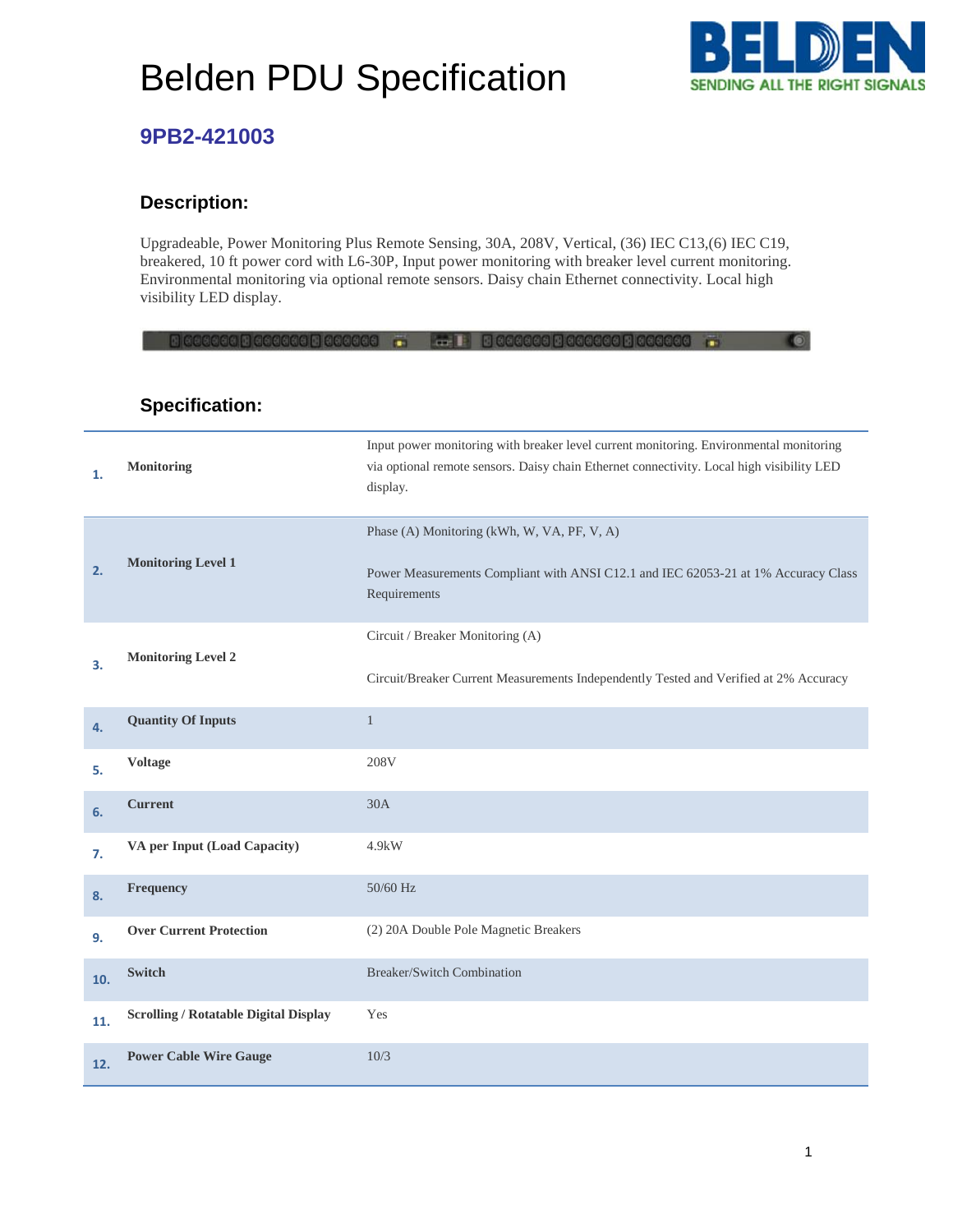## Belden PDU Specification



### **9PB2-421003**

#### **Description:**

Upgradeable, Power Monitoring Plus Remote Sensing, 30A, 208V, Vertical, (36) IEC C13,(6) IEC C19, breakered, 10 ft power cord with L6-30P, Input power monitoring with breaker level current monitoring. Environmental monitoring via optional remote sensors. Daisy chain Ethernet connectivity. Local high visibility LED display.

|     | GGUN GGGGGGGUN BIGGGGGGG                     | <b>CON</b>                                                                                                                                                                                      |
|-----|----------------------------------------------|-------------------------------------------------------------------------------------------------------------------------------------------------------------------------------------------------|
|     | <b>Specification:</b>                        |                                                                                                                                                                                                 |
| 1.  | Monitoring                                   | Input power monitoring with breaker level current monitoring. Environmental monitoring<br>via optional remote sensors. Daisy chain Ethernet connectivity. Local high visibility LED<br>display. |
| 2.  | <b>Monitoring Level 1</b>                    | Phase (A) Monitoring (kWh, W, VA, PF, V, A)                                                                                                                                                     |
|     |                                              | Power Measurements Compliant with ANSI C12.1 and IEC 62053-21 at 1% Accuracy Class<br>Requirements                                                                                              |
| 3.  | <b>Monitoring Level 2</b>                    | Circuit / Breaker Monitoring (A)                                                                                                                                                                |
|     |                                              | Circuit/Breaker Current Measurements Independently Tested and Verified at 2% Accuracy                                                                                                           |
| 4.  | <b>Quantity Of Inputs</b>                    | $\mathbf{1}$                                                                                                                                                                                    |
| 5.  | <b>Voltage</b>                               | 208V                                                                                                                                                                                            |
| 6.  | <b>Current</b>                               | 30A                                                                                                                                                                                             |
| 7.  | VA per Input (Load Capacity)                 | $4.9$ kW                                                                                                                                                                                        |
| 8.  | Frequency                                    | 50/60 Hz                                                                                                                                                                                        |
| 9.  | <b>Over Current Protection</b>               | (2) 20A Double Pole Magnetic Breakers                                                                                                                                                           |
| 10. | <b>Switch</b>                                | <b>Breaker/Switch Combination</b>                                                                                                                                                               |
| 11. | <b>Scrolling / Rotatable Digital Display</b> | Yes                                                                                                                                                                                             |
| 12. | <b>Power Cable Wire Gauge</b>                | 10/3                                                                                                                                                                                            |

1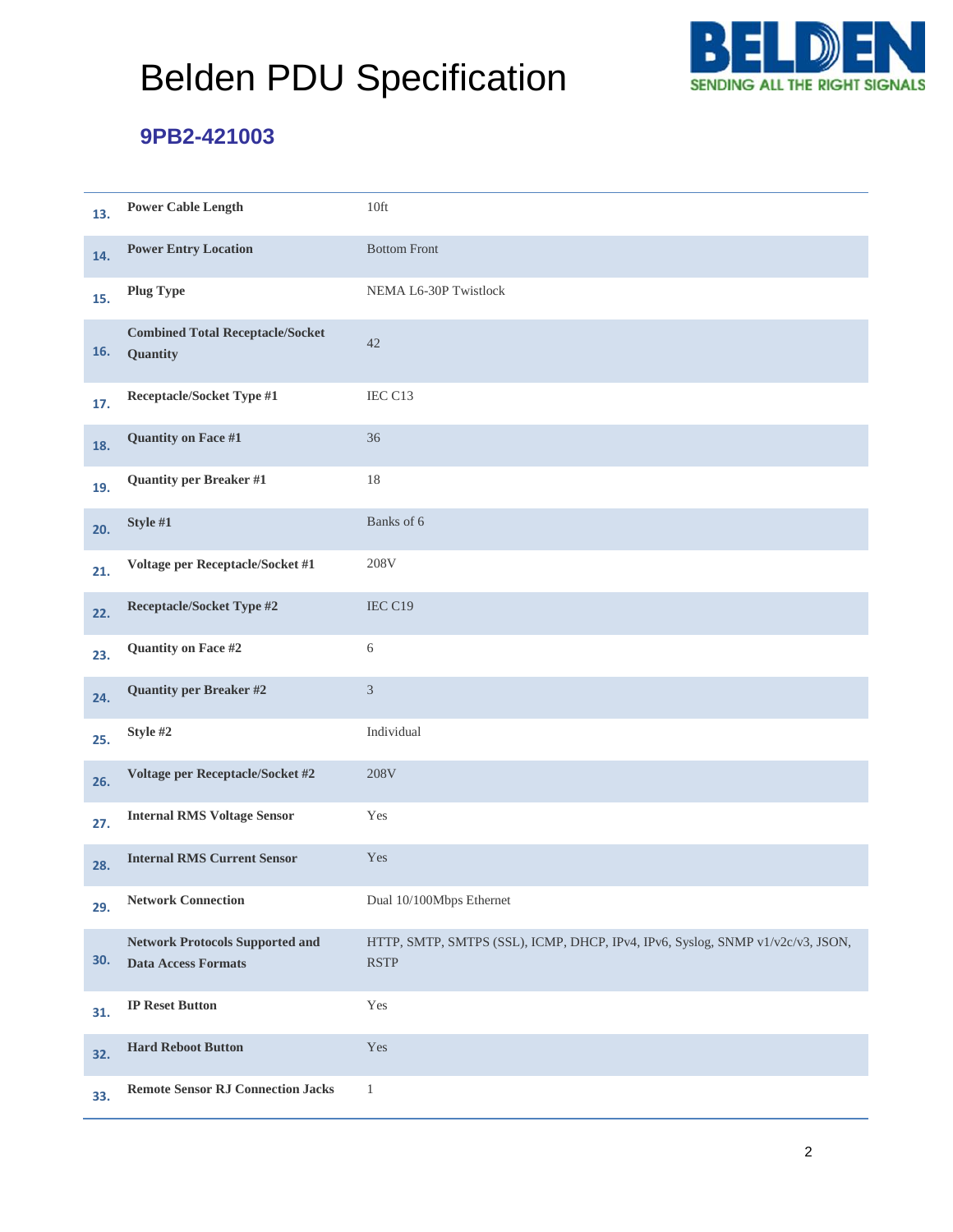# Belden PDU Specification



### **9PB2-421003**

| 13. | <b>Power Cable Length</b>                                            | 10ft                                                                                          |
|-----|----------------------------------------------------------------------|-----------------------------------------------------------------------------------------------|
| 14. | <b>Power Entry Location</b>                                          | <b>Bottom Front</b>                                                                           |
| 15. | <b>Plug Type</b>                                                     | NEMA L6-30P Twistlock                                                                         |
| 16. | <b>Combined Total Receptacle/Socket</b><br>Quantity                  | 42                                                                                            |
| 17. | Receptacle/Socket Type #1                                            | IEC C13                                                                                       |
| 18. | Quantity on Face #1                                                  | 36                                                                                            |
| 19. | <b>Quantity per Breaker #1</b>                                       | 18                                                                                            |
| 20. | Style #1                                                             | Banks of 6                                                                                    |
| 21. | Voltage per Receptacle/Socket #1                                     | 208V                                                                                          |
| 22. | <b>Receptacle/Socket Type #2</b>                                     | IEC C19                                                                                       |
| 23. | Quantity on Face #2                                                  | 6                                                                                             |
| 24. | <b>Quantity per Breaker #2</b>                                       | $\mathfrak{Z}$                                                                                |
| 25. | Style #2                                                             | Individual                                                                                    |
| 26. | Voltage per Receptacle/Socket #2                                     | 208V                                                                                          |
| 27. | <b>Internal RMS Voltage Sensor</b>                                   | Yes                                                                                           |
| 28. | <b>Internal RMS Current Sensor</b>                                   | Yes                                                                                           |
| 29. | <b>Network Connection</b>                                            | Dual 10/100Mbps Ethernet                                                                      |
| 30. | <b>Network Protocols Supported and</b><br><b>Data Access Formats</b> | HTTP, SMTP, SMTPS (SSL), ICMP, DHCP, IPv4, IPv6, Syslog, SNMP v1/v2c/v3, JSON,<br><b>RSTP</b> |
| 31. | <b>IP Reset Button</b>                                               | Yes                                                                                           |
| 32. | <b>Hard Reboot Button</b>                                            | Yes                                                                                           |
| 33. | <b>Remote Sensor RJ Connection Jacks</b>                             | $\mathbf{1}$                                                                                  |